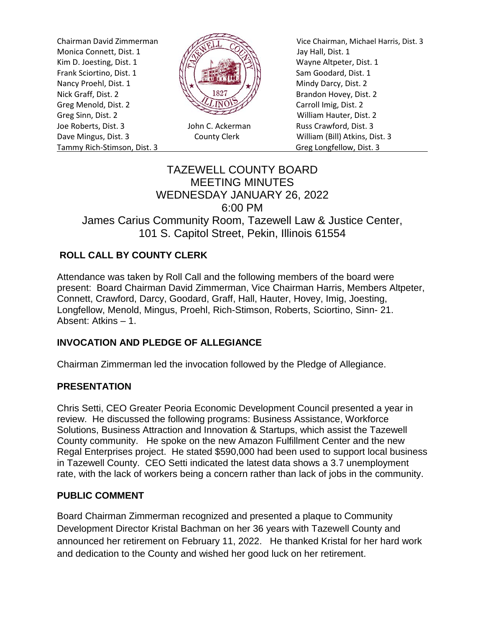Monica Connett, Dist. 1  $\frac{1}{\sqrt{2}}$  Jay Hall, Dist. 1 Kim D. Joesting, Dist. 1  $\sqrt{|\mathcal{R}|}$  N Frank Sciortino, Dist. 1  $\left[\begin{array}{cc} \begin{array}{ccc} \dots & \dots & \dots \\ \dots & \dots & \dots \end{array} \right] & \begin{array}{ccc} \dots & \dots & \dots \\ \dots & \dots & \dots \end{array} \end{array} \right]$  Sam Goodard, Dist. 1 Nancy Proehl, Dist. 1  $\left\| \cdot \right\|$ Nick Graff, Dist. 2  $\mathbb{R}\setminus\mathbb{R}^{32}$  Brandon Hovey, Dist. 2 Greg Menold, Dist. 2 Carroll Imig, Dist. 2 Greg Sinn, Dist. 2 William Hauter, Dist. 2 Joe Roberts, Dist. 3 John C. Ackerman Russ Crawford, Dist. 3 Dave Mingus, Dist. 3 County Clerk William (Bill) Atkins, Dist. 3 Tammy Rich-Stimson, Dist. 3 Greg Longfellow, Dist. 3



Chairman David Zimmerman Vice Chairman, Michael Harris, Dist. 3

# TAZEWELL COUNTY BOARD MEETING MINUTES WEDNESDAY JANUARY 26, 2022 6:00 PM James Carius Community Room, Tazewell Law & Justice Center, 101 S. Capitol Street, Pekin, Illinois 61554

## **ROLL CALL BY COUNTY CLERK**

Attendance was taken by Roll Call and the following members of the board were present: Board Chairman David Zimmerman, Vice Chairman Harris, Members Altpeter, Connett, Crawford, Darcy, Goodard, Graff, Hall, Hauter, Hovey, Imig, Joesting, Longfellow, Menold, Mingus, Proehl, Rich-Stimson, Roberts, Sciortino, Sinn- 21. Absent: Atkins – 1.

## **INVOCATION AND PLEDGE OF ALLEGIANCE**

Chairman Zimmerman led the invocation followed by the Pledge of Allegiance.

### **PRESENTATION**

Chris Setti, CEO Greater Peoria Economic Development Council presented a year in review. He discussed the following programs: Business Assistance, Workforce Solutions, Business Attraction and Innovation & Startups, which assist the Tazewell County community. He spoke on the new Amazon Fulfillment Center and the new Regal Enterprises project. He stated \$590,000 had been used to support local business in Tazewell County. CEO Setti indicated the latest data shows a 3.7 unemployment rate, with the lack of workers being a concern rather than lack of jobs in the community.

### **PUBLIC COMMENT**

Board Chairman Zimmerman recognized and presented a plaque to Community Development Director Kristal Bachman on her 36 years with Tazewell County and announced her retirement on February 11, 2022. He thanked Kristal for her hard work and dedication to the County and wished her good luck on her retirement.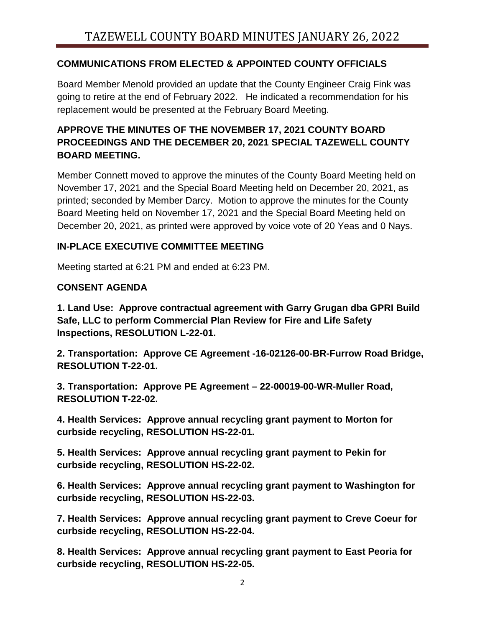## **COMMUNICATIONS FROM ELECTED & APPOINTED COUNTY OFFICIALS**

Board Member Menold provided an update that the County Engineer Craig Fink was going to retire at the end of February 2022. He indicated a recommendation for his replacement would be presented at the February Board Meeting.

# **APPROVE THE MINUTES OF THE NOVEMBER 17, 2021 COUNTY BOARD PROCEEDINGS AND THE DECEMBER 20, 2021 SPECIAL TAZEWELL COUNTY BOARD MEETING.**

Member Connett moved to approve the minutes of the County Board Meeting held on November 17, 2021 and the Special Board Meeting held on December 20, 2021, as printed; seconded by Member Darcy. Motion to approve the minutes for the County Board Meeting held on November 17, 2021 and the Special Board Meeting held on December 20, 2021, as printed were approved by voice vote of 20 Yeas and 0 Nays.

## **IN-PLACE EXECUTIVE COMMITTEE MEETING**

Meeting started at 6:21 PM and ended at 6:23 PM.

## **CONSENT AGENDA**

**1. Land Use: Approve contractual agreement with Garry Grugan dba GPRI Build Safe, LLC to perform Commercial Plan Review for Fire and Life Safety Inspections, RESOLUTION L-22-01.** 

**2. Transportation: Approve CE Agreement -16-02126-00-BR-Furrow Road Bridge, RESOLUTION T-22-01.**

**3. Transportation: Approve PE Agreement – 22-00019-00-WR-Muller Road, RESOLUTION T-22-02.**

**4. Health Services: Approve annual recycling grant payment to Morton for curbside recycling, RESOLUTION HS-22-01.** 

**5. Health Services: Approve annual recycling grant payment to Pekin for curbside recycling, RESOLUTION HS-22-02.** 

**6. Health Services: Approve annual recycling grant payment to Washington for curbside recycling, RESOLUTION HS-22-03.** 

**7. Health Services: Approve annual recycling grant payment to Creve Coeur for curbside recycling, RESOLUTION HS-22-04.** 

**8. Health Services: Approve annual recycling grant payment to East Peoria for curbside recycling, RESOLUTION HS-22-05.**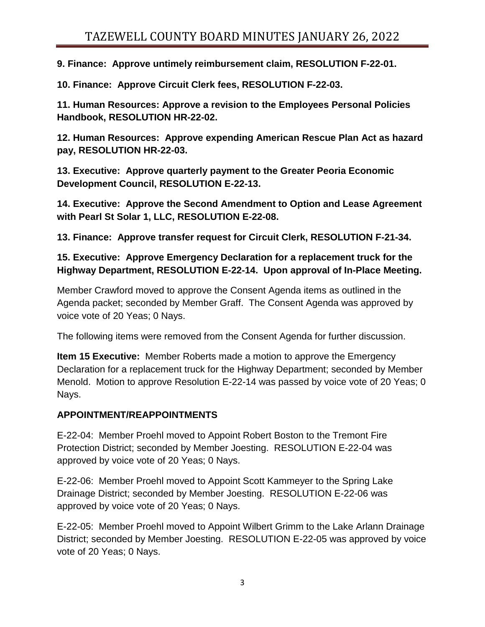**9. Finance: Approve untimely reimbursement claim, RESOLUTION F-22-01.** 

**10. Finance: Approve Circuit Clerk fees, RESOLUTION F-22-03.** 

**11. Human Resources: Approve a revision to the Employees Personal Policies Handbook, RESOLUTION HR-22-02.** 

**12. Human Resources: Approve expending American Rescue Plan Act as hazard pay, RESOLUTION HR-22-03.** 

**13. Executive: Approve quarterly payment to the Greater Peoria Economic Development Council, RESOLUTION E-22-13.** 

**14. Executive: Approve the Second Amendment to Option and Lease Agreement with Pearl St Solar 1, LLC, RESOLUTION E-22-08.** 

**13. Finance: Approve transfer request for Circuit Clerk, RESOLUTION F-21-34.**

## **15. Executive: Approve Emergency Declaration for a replacement truck for the Highway Department, RESOLUTION E-22-14. Upon approval of In-Place Meeting.**

Member Crawford moved to approve the Consent Agenda items as outlined in the Agenda packet; seconded by Member Graff. The Consent Agenda was approved by voice vote of 20 Yeas; 0 Nays.

The following items were removed from the Consent Agenda for further discussion.

**Item 15 Executive:** Member Roberts made a motion to approve the Emergency Declaration for a replacement truck for the Highway Department; seconded by Member Menold. Motion to approve Resolution E-22-14 was passed by voice vote of 20 Yeas; 0 Nays.

## **APPOINTMENT/REAPPOINTMENTS**

E-22-04: Member Proehl moved to Appoint Robert Boston to the Tremont Fire Protection District; seconded by Member Joesting. RESOLUTION E-22-04 was approved by voice vote of 20 Yeas; 0 Nays.

E-22-06: Member Proehl moved to Appoint Scott Kammeyer to the Spring Lake Drainage District; seconded by Member Joesting. RESOLUTION E-22-06 was approved by voice vote of 20 Yeas; 0 Nays.

E-22-05: Member Proehl moved to Appoint Wilbert Grimm to the Lake Arlann Drainage District; seconded by Member Joesting. RESOLUTION E-22-05 was approved by voice vote of 20 Yeas; 0 Nays.